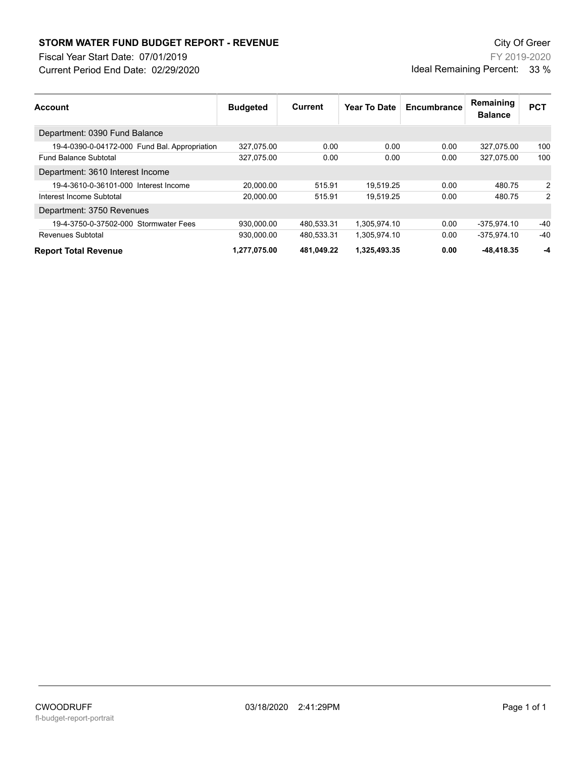## **STORM WATER FUND BUDGET REPORT - REVENUE City Of Green** City Of Green

Fiscal Year Start Date: 07/01/2019

Current Period End Date: 02/29/2020

FY 2019-2020 Ideal Remaining Percent: 33 %

| <b>Account</b>                                | <b>Budgeted</b> | Current    | Year To Date | Encumbrance | Remaining<br><b>Balance</b> | <b>PCT</b> |
|-----------------------------------------------|-----------------|------------|--------------|-------------|-----------------------------|------------|
| Department: 0390 Fund Balance                 |                 |            |              |             |                             |            |
| 19-4-0390-0-04172-000 Fund Bal. Appropriation | 327,075.00      | 0.00       | 0.00         | 0.00        | 327,075.00                  | 100        |
| <b>Fund Balance Subtotal</b>                  | 327,075.00      | 0.00       | 0.00         | 0.00        | 327.075.00                  | 100        |
| Department: 3610 Interest Income              |                 |            |              |             |                             |            |
| 19-4-3610-0-36101-000 Interest Income         | 20.000.00       | 515.91     | 19.519.25    | 0.00        | 480.75                      | 2          |
| Interest Income Subtotal                      | 20.000.00       | 515.91     | 19.519.25    | 0.00        | 480.75                      | 2          |
| Department: 3750 Revenues                     |                 |            |              |             |                             |            |
| 19-4-3750-0-37502-000 Stormwater Fees         | 930.000.00      | 480.533.31 | 1.305.974.10 | 0.00        | -375.974.10                 | $-40$      |
| Revenues Subtotal                             | 930,000.00      | 480,533.31 | 1,305,974.10 | 0.00        | -375.974.10                 | $-40$      |
| <b>Report Total Revenue</b>                   | 1,277,075.00    | 481,049.22 | 1,325,493.35 | 0.00        | $-48,418.35$                | -4         |